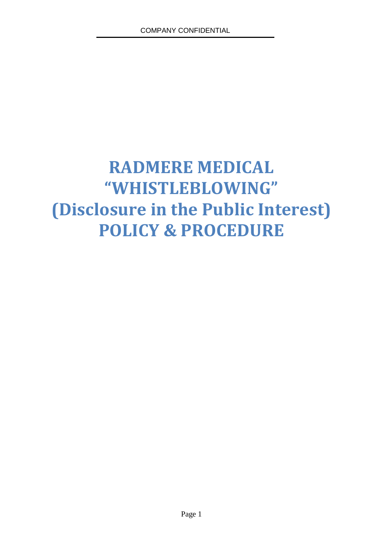# **RADMERE MEDICAL "WHISTLEBLOWING" (Disclosure in the Public Interest) POLICY & PROCEDURE**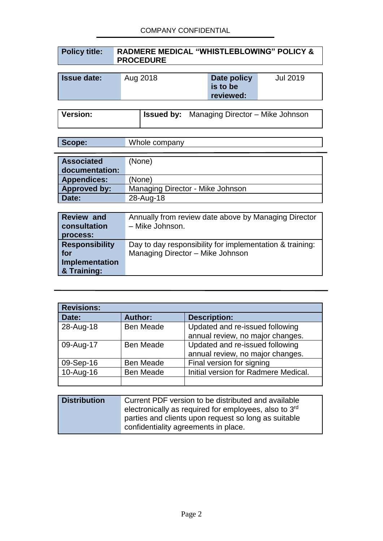#### COMPANY CONFIDENTIAL

| <b>Policy title:</b> | <b>RADMERE MEDICAL "WHISTLEBLOWING" POLICY &amp;</b> |
|----------------------|------------------------------------------------------|
|                      | <b>PROCEDURE</b>                                     |

| <b>Issue date:</b> | Aug 2018 | Date policy | Jul 2019 |
|--------------------|----------|-------------|----------|
|                    |          | is to be    |          |
|                    |          | reviewed:   |          |

**Version: Issued by:** Managing Director – Mike Johnson

| <b>Associated</b><br>documentation: | (None)                           |
|-------------------------------------|----------------------------------|
| <b>Appendices:</b>                  | (None)                           |
| <b>Approved by:</b>                 | Managing Director - Mike Johnson |
| Date:                               | 28-Aug-18                        |

| <b>Review and</b><br>consultation<br>process: | Annually from review date above by Managing Director<br>- Mike Johnson. |
|-----------------------------------------------|-------------------------------------------------------------------------|
| <b>Responsibility</b>                         | Day to day responsibility for implementation & training:                |
| for                                           | Managing Director - Mike Johnson                                        |
| Implementation                                |                                                                         |
| & Training:                                   |                                                                         |

| <b>Revisions:</b> |                  |                                      |  |
|-------------------|------------------|--------------------------------------|--|
| Date:             | <b>Author:</b>   | <b>Description:</b>                  |  |
| 28-Aug-18         | <b>Ben Meade</b> | Updated and re-issued following      |  |
|                   |                  | annual review, no major changes.     |  |
| 09-Aug-17         | <b>Ben Meade</b> | Updated and re-issued following      |  |
|                   |                  | annual review, no major changes.     |  |
| 09-Sep-16         | <b>Ben Meade</b> | Final version for signing            |  |
| 10-Aug-16         | <b>Ben Meade</b> | Initial version for Radmere Medical. |  |
|                   |                  |                                      |  |

| <b>Distribution</b> | Current PDF version to be distributed and available               |
|---------------------|-------------------------------------------------------------------|
|                     | electronically as required for employees, also to 3 <sup>rd</sup> |
|                     | parties and clients upon request so long as suitable              |
|                     | confidentiality agreements in place.                              |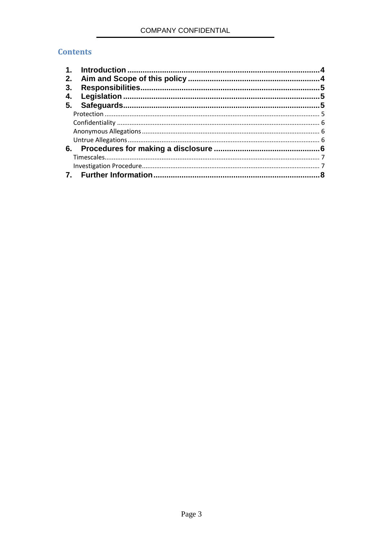## **Contents**

| 1. |  |
|----|--|
| 2. |  |
| 3. |  |
| 4. |  |
| 5. |  |
|    |  |
|    |  |
|    |  |
|    |  |
| 6. |  |
|    |  |
|    |  |
|    |  |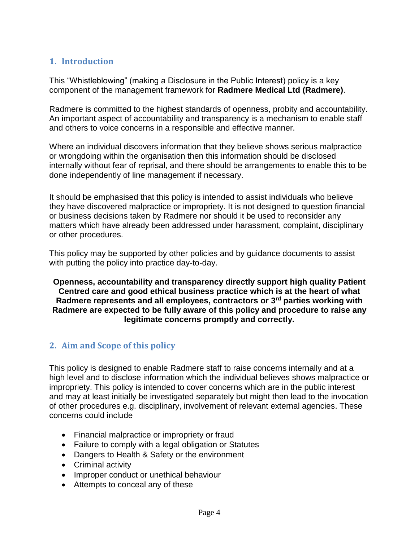# **1. Introduction**

This "Whistleblowing" (making a Disclosure in the Public Interest) policy is a key component of the management framework for **Radmere Medical Ltd (Radmere)**.

Radmere is committed to the highest standards of openness, probity and accountability. An important aspect of accountability and transparency is a mechanism to enable staff and others to voice concerns in a responsible and effective manner.

Where an individual discovers information that they believe shows serious malpractice or wrongdoing within the organisation then this information should be disclosed internally without fear of reprisal, and there should be arrangements to enable this to be done independently of line management if necessary.

It should be emphasised that this policy is intended to assist individuals who believe they have discovered malpractice or impropriety. It is not designed to question financial or business decisions taken by Radmere nor should it be used to reconsider any matters which have already been addressed under harassment, complaint, disciplinary or other procedures.

This policy may be supported by other policies and by guidance documents to assist with putting the policy into practice day-to-day.

**Openness, accountability and transparency directly support high quality Patient Centred care and good ethical business practice which is at the heart of what Radmere represents and all employees, contractors or 3rd parties working with Radmere are expected to be fully aware of this policy and procedure to raise any legitimate concerns promptly and correctly.**

# **2. Aim and Scope of this policy**

This policy is designed to enable Radmere staff to raise concerns internally and at a high level and to disclose information which the individual believes shows malpractice or impropriety. This policy is intended to cover concerns which are in the public interest and may at least initially be investigated separately but might then lead to the invocation of other procedures e.g. disciplinary, involvement of relevant external agencies. These concerns could include

- Financial malpractice or impropriety or fraud
- Failure to comply with a legal obligation or Statutes
- Dangers to Health & Safety or the environment
- Criminal activity
- Improper conduct or unethical behaviour
- Attempts to conceal any of these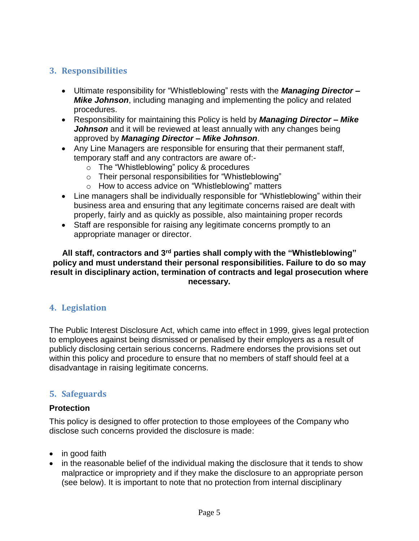# **3. Responsibilities**

- Ultimate responsibility for "Whistleblowing" rests with the *Managing Director – Mike Johnson*, including managing and implementing the policy and related procedures.
- Responsibility for maintaining this Policy is held by *Managing Director – Mike Johnson* and it will be reviewed at least annually with any changes being approved by *Managing Director – Mike Johnson*.
- Any Line Managers are responsible for ensuring that their permanent staff, temporary staff and any contractors are aware of:
	- o The "Whistleblowing" policy & procedures
	- o Their personal responsibilities for "Whistleblowing"
	- o How to access advice on "Whistleblowing" matters
- Line managers shall be individually responsible for "Whistleblowing" within their business area and ensuring that any legitimate concerns raised are dealt with properly, fairly and as quickly as possible, also maintaining proper records
- Staff are responsible for raising any legitimate concerns promptly to an appropriate manager or director.

#### **All staff, contractors and 3rd parties shall comply with the "Whistleblowing" policy and must understand their personal responsibilities. Failure to do so may result in disciplinary action, termination of contracts and legal prosecution where necessary.**

# **4. Legislation**

The Public Interest Disclosure Act, which came into effect in 1999, gives legal protection to employees against being dismissed or penalised by their employers as a result of publicly disclosing certain serious concerns. Radmere endorses the provisions set out within this policy and procedure to ensure that no members of staff should feel at a disadvantage in raising legitimate concerns.

# **5. Safeguards**

#### **Protection**

This policy is designed to offer protection to those employees of the Company who disclose such concerns provided the disclosure is made:

- in good faith
- in the reasonable belief of the individual making the disclosure that it tends to show malpractice or impropriety and if they make the disclosure to an appropriate person (see below). It is important to note that no protection from internal disciplinary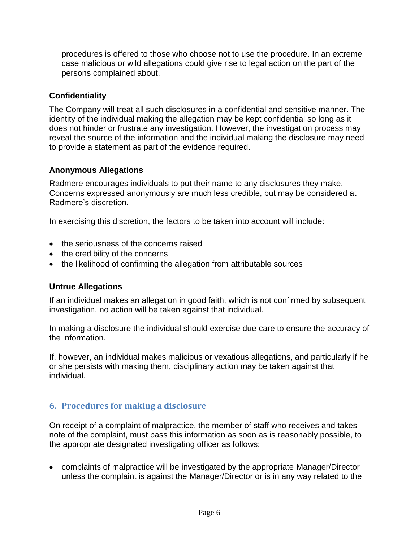procedures is offered to those who choose not to use the procedure. In an extreme case malicious or wild allegations could give rise to legal action on the part of the persons complained about.

### **Confidentiality**

The Company will treat all such disclosures in a confidential and sensitive manner. The identity of the individual making the allegation may be kept confidential so long as it does not hinder or frustrate any investigation. However, the investigation process may reveal the source of the information and the individual making the disclosure may need to provide a statement as part of the evidence required.

#### **Anonymous Allegations**

Radmere encourages individuals to put their name to any disclosures they make. Concerns expressed anonymously are much less credible, but may be considered at Radmere's discretion.

In exercising this discretion, the factors to be taken into account will include:

- the seriousness of the concerns raised
- the credibility of the concerns
- the likelihood of confirming the allegation from attributable sources

# **Untrue Allegations**

If an individual makes an allegation in good faith, which is not confirmed by subsequent investigation, no action will be taken against that individual.

In making a disclosure the individual should exercise due care to ensure the accuracy of the information.

If, however, an individual makes malicious or vexatious allegations, and particularly if he or she persists with making them, disciplinary action may be taken against that individual.

# **6. Procedures for making a disclosure**

On receipt of a complaint of malpractice, the member of staff who receives and takes note of the complaint, must pass this information as soon as is reasonably possible, to the appropriate designated investigating officer as follows:

• complaints of malpractice will be investigated by the appropriate Manager/Director unless the complaint is against the Manager/Director or is in any way related to the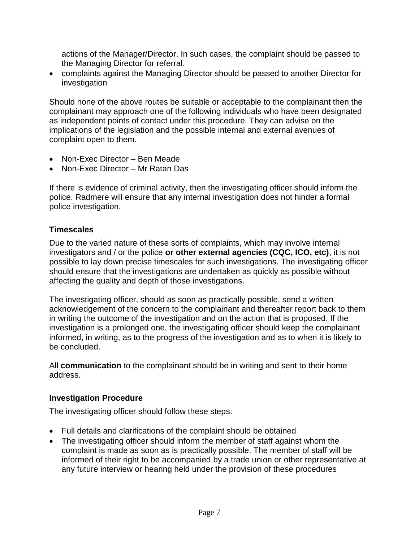actions of the Manager/Director. In such cases, the complaint should be passed to the Managing Director for referral.

• complaints against the Managing Director should be passed to another Director for investigation

Should none of the above routes be suitable or acceptable to the complainant then the complainant may approach one of the following individuals who have been designated as independent points of contact under this procedure. They can advise on the implications of the legislation and the possible internal and external avenues of complaint open to them.

- Non-Exec Director Ben Meade
- Non-Exec Director Mr Ratan Das

If there is evidence of criminal activity, then the investigating officer should inform the police. Radmere will ensure that any internal investigation does not hinder a formal police investigation.

## **Timescales**

Due to the varied nature of these sorts of complaints, which may involve internal investigators and / or the police **or other external agencies (CQC, ICO, etc)**, it is not possible to lay down precise timescales for such investigations. The investigating officer should ensure that the investigations are undertaken as quickly as possible without affecting the quality and depth of those investigations.

The investigating officer, should as soon as practically possible, send a written acknowledgement of the concern to the complainant and thereafter report back to them in writing the outcome of the investigation and on the action that is proposed. If the investigation is a prolonged one, the investigating officer should keep the complainant informed, in writing, as to the progress of the investigation and as to when it is likely to be concluded.

All **communication** to the complainant should be in writing and sent to their home address.

#### **Investigation Procedure**

The investigating officer should follow these steps:

- Full details and clarifications of the complaint should be obtained
- The investigating officer should inform the member of staff against whom the complaint is made as soon as is practically possible. The member of staff will be informed of their right to be accompanied by a trade union or other representative at any future interview or hearing held under the provision of these procedures